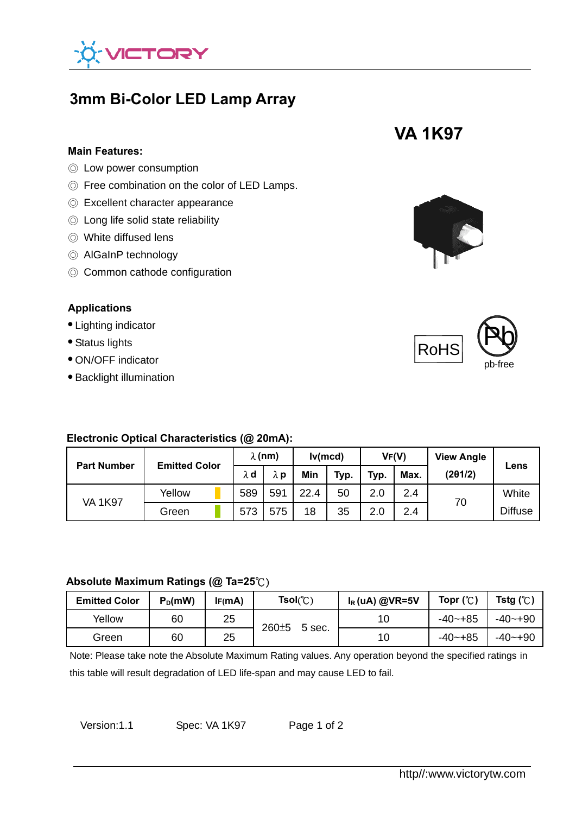

# **3mm Bi-Color LED Lamp Array**

#### **Main Features:**

- ◎ Low power consumption
- ◎ Free combination on the color of LED Lamps.
- ◎ Excellent character appearance
- ◎ Long life solid state reliability
- ◎ White diffused lens
- ◎ AlGaInP technology
- ◎ Common cathode configuration

### **Applications**

#### ● Lighting indicator

- Status lights
- ON/OFF indicator
- Backlight illumination

# **Electronic Optical Characteristics (@ 20mA):**

| <b>Part Number</b> | <b>Emitted Color</b> | $\lambda$ (nm) |            | lv(mcd) |      | VF(V) |      | <b>View Angle</b> |                |
|--------------------|----------------------|----------------|------------|---------|------|-------|------|-------------------|----------------|
|                    |                      | λd             | $\wedge$ p | Min     | Typ. | Typ.  | Max. | (201/2)           | Lens           |
| <b>VA 1K97</b>     | Yellow               | 589            | 591        | 22.4    | 50   | 2.0   | 2.4  | 70                | White          |
|                    | Green                | 573            | 575        | 18      | 35   | 2.0   | 2.4  |                   | <b>Diffuse</b> |

## **Absolute Maximum Ratings (@ Ta=25**℃)

| <b>Emitted Color</b> | $P_D$ (mW) | IF(mA) | $Tsol(\mathcal{C})$ | $I_R$ (uA) @VR=5V | Topr $(\mathcal{C})$ | Tstg $(\mathbb{C})$ |
|----------------------|------------|--------|---------------------|-------------------|----------------------|---------------------|
| Yellow               | 60         | 25     | 260±5<br>5 sec.     | 10                | $-40 - +85$          | $-40 - +90$         |
| Green                | 60         | 25     |                     | 10                | $-40 - +85$          | $-40 - +90$         |

Note: Please take note the Absolute Maximum Rating values. Any operation beyond the specified ratings in this table will result degradation of LED life-span and may cause LED to fail.

Version:1.1 Spec: VA 1K97 Page 1 of 2